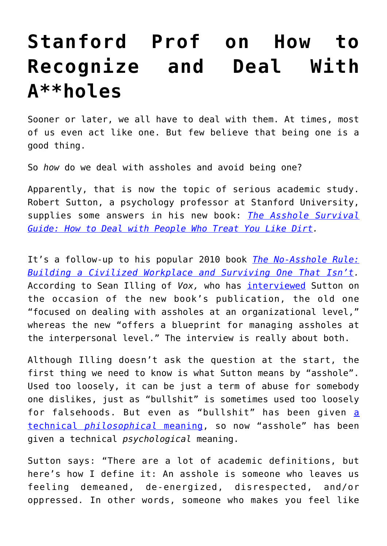## **[Stanford Prof on How to](https://intellectualtakeout.org/2017/09/stanford-prof-on-how-to-recognize-and-deal-with-aholes/) [Recognize and Deal With](https://intellectualtakeout.org/2017/09/stanford-prof-on-how-to-recognize-and-deal-with-aholes/) [A\\*\\*holes](https://intellectualtakeout.org/2017/09/stanford-prof-on-how-to-recognize-and-deal-with-aholes/)**

Sooner or later, we all have to deal with them. At times, most of us even act like one. But few believe that being one is a good thing.

So *how* do we deal with assholes and avoid being one?

Apparently, that is now the topic of serious academic study. Robert Sutton, a psychology professor at Stanford University, supplies some answers in his new book: *[The Asshole Survival](http://amzn.to/2xHJeMy) [Guide: How to Deal with People Who Treat You Like Dirt](http://amzn.to/2xHJeMy).*

It's a follow-up to his popular 2010 book *[The No-Asshole Rule:](http://amzn.to/2k8yhAp) [Building a Civilized Workplace and Surviving One That Isn't.](http://amzn.to/2k8yhAp)* According to Sean Illing of *Vox,* who has [interviewed](https://www.vox.com/conversations/2017/9/26/16345476/stanford-psychologist-art-of-avoiding-assholes) Sutton on the occasion of the new book's publication, the old one "focused on dealing with assholes at an organizational level," whereas the new "offers a blueprint for managing assholes at the interpersonal level." The interview is really about both.

Although Illing doesn't ask the question at the start, the first thing we need to know is what Sutton means by "asshole". Used too loosely, it can be just a term of abuse for somebody one dislikes, just as "bullshit" is sometimes used too loosely for falsehoods. But even as "bullshit" has been given [a](https://www.goodreads.com/book/show/385.On_Bullshit) [technical](https://www.goodreads.com/book/show/385.On_Bullshit) *[philosophical](https://www.goodreads.com/book/show/385.On_Bullshit)* [meaning](https://www.goodreads.com/book/show/385.On_Bullshit), so now "asshole" has been given a technical *psychological* meaning.

Sutton says: "There are a lot of academic definitions, but here's how I define it: An asshole is someone who leaves us feeling demeaned, de-energized, disrespected, and/or oppressed. In other words, someone who makes you feel like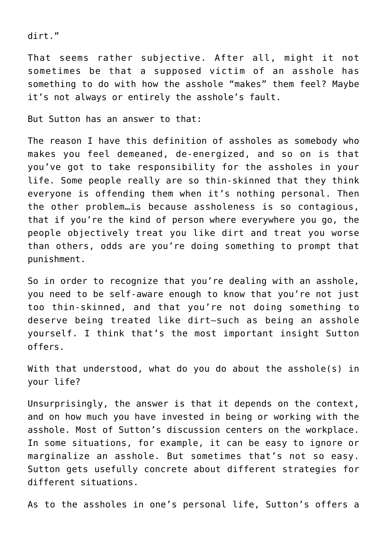dirt."

That seems rather subjective. After all, might it not sometimes be that a supposed victim of an asshole has something to do with how the asshole "makes" them feel? Maybe it's not always or entirely the asshole's fault.

But Sutton has an answer to that:

The reason I have this definition of assholes as somebody who makes you feel demeaned, de-energized, and so on is that you've got to take responsibility for the assholes in your life. Some people really are so thin-skinned that they think everyone is offending them when it's nothing personal. Then the other problem…is because assholeness is so contagious, that if you're the kind of person where everywhere you go, the people objectively treat you like dirt and treat you worse than others, odds are you're doing something to prompt that punishment.

So in order to recognize that you're dealing with an asshole, you need to be self-aware enough to know that you're not just too thin-skinned, and that you're not doing something to deserve being treated like dirt—such as being an asshole yourself. I think that's the most important insight Sutton offers.

With that understood, what do you do about the asshole(s) in your life?

Unsurprisingly, the answer is that it depends on the context, and on how much you have invested in being or working with the asshole. Most of Sutton's discussion centers on the workplace. In some situations, for example, it can be easy to ignore or marginalize an asshole. But sometimes that's not so easy. Sutton gets usefully concrete about different strategies for different situations.

As to the assholes in one's personal life, Sutton's offers a